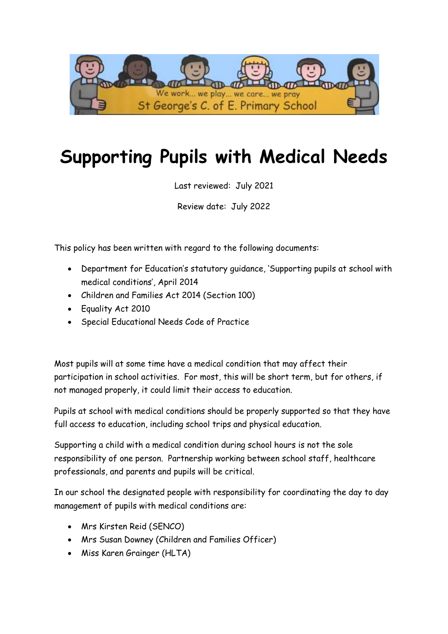

# **Supporting Pupils with Medical Needs**

Last reviewed: July 2021

Review date: July 2022

This policy has been written with regard to the following documents:

- Department for Education's statutory guidance, 'Supporting pupils at school with medical conditions', April 2014
- Children and Families Act 2014 (Section 100)
- Equality Act 2010
- Special Educational Needs Code of Practice

Most pupils will at some time have a medical condition that may affect their participation in school activities. For most, this will be short term, but for others, if not managed properly, it could limit their access to education.

Pupils at school with medical conditions should be properly supported so that they have full access to education, including school trips and physical education.

Supporting a child with a medical condition during school hours is not the sole responsibility of one person. Partnership working between school staff, healthcare professionals, and parents and pupils will be critical.

In our school the designated people with responsibility for coordinating the day to day management of pupils with medical conditions are:

- Mrs Kirsten Reid (SENCO)
- Mrs Susan Downey (Children and Families Officer)
- Miss Karen Grainger (HLTA)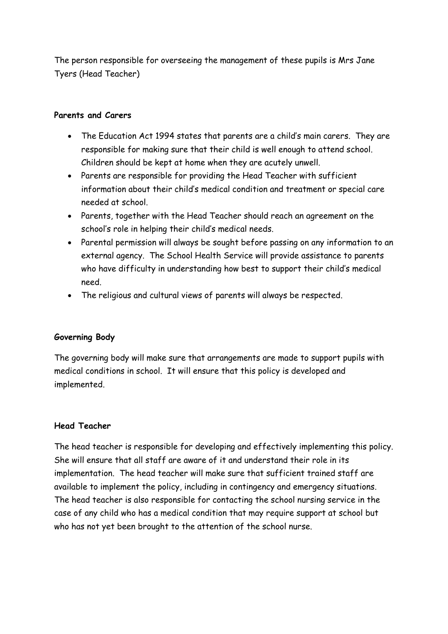The person responsible for overseeing the management of these pupils is Mrs Jane Tyers (Head Teacher)

#### **Parents and Carers**

- The Education Act 1994 states that parents are a child's main carers. They are responsible for making sure that their child is well enough to attend school. Children should be kept at home when they are acutely unwell.
- Parents are responsible for providing the Head Teacher with sufficient information about their child's medical condition and treatment or special care needed at school.
- Parents, together with the Head Teacher should reach an agreement on the school's role in helping their child's medical needs.
- Parental permission will always be sought before passing on any information to an external agency. The School Health Service will provide assistance to parents who have difficulty in understanding how best to support their child's medical need.
- The religious and cultural views of parents will always be respected.

# **Governing Body**

The governing body will make sure that arrangements are made to support pupils with medical conditions in school. It will ensure that this policy is developed and implemented.

# **Head Teacher**

The head teacher is responsible for developing and effectively implementing this policy. She will ensure that all staff are aware of it and understand their role in its implementation. The head teacher will make sure that sufficient trained staff are available to implement the policy, including in contingency and emergency situations. The head teacher is also responsible for contacting the school nursing service in the case of any child who has a medical condition that may require support at school but who has not yet been brought to the attention of the school nurse.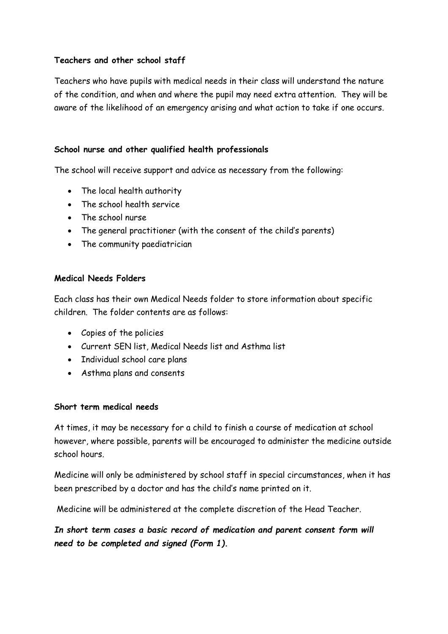# **Teachers and other school staff**

Teachers who have pupils with medical needs in their class will understand the nature of the condition, and when and where the pupil may need extra attention. They will be aware of the likelihood of an emergency arising and what action to take if one occurs.

#### **School nurse and other qualified health professionals**

The school will receive support and advice as necessary from the following:

- The local health authority
- The school health service
- The school nurse
- The general practitioner (with the consent of the child's parents)
- The community paediatrician

#### **Medical Needs Folders**

Each class has their own Medical Needs folder to store information about specific children. The folder contents are as follows:

- Copies of the policies
- Current SEN list, Medical Needs list and Asthma list
- Individual school care plans
- Asthma plans and consents

#### **Short term medical needs**

At times, it may be necessary for a child to finish a course of medication at school however, where possible, parents will be encouraged to administer the medicine outside school hours.

Medicine will only be administered by school staff in special circumstances, when it has been prescribed by a doctor and has the child's name printed on it.

Medicine will be administered at the complete discretion of the Head Teacher.

*In short term cases a basic record of medication and parent consent form will need to be completed and signed (Form 1).*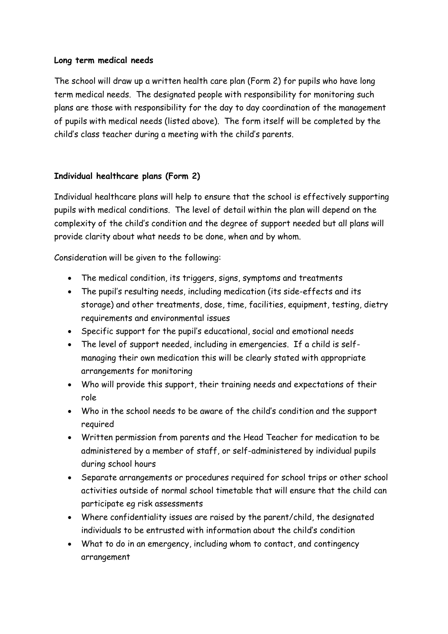#### **Long term medical needs**

The school will draw up a written health care plan (Form 2) for pupils who have long term medical needs. The designated people with responsibility for monitoring such plans are those with responsibility for the day to day coordination of the management of pupils with medical needs (listed above). The form itself will be completed by the child's class teacher during a meeting with the child's parents.

# **Individual healthcare plans (Form 2)**

Individual healthcare plans will help to ensure that the school is effectively supporting pupils with medical conditions. The level of detail within the plan will depend on the complexity of the child's condition and the degree of support needed but all plans will provide clarity about what needs to be done, when and by whom.

Consideration will be given to the following:

- The medical condition, its triggers, signs, symptoms and treatments
- The pupil's resulting needs, including medication (its side-effects and its storage) and other treatments, dose, time, facilities, equipment, testing, dietry requirements and environmental issues
- Specific support for the pupil's educational, social and emotional needs
- The level of support needed, including in emergencies. If a child is selfmanaging their own medication this will be clearly stated with appropriate arrangements for monitoring
- Who will provide this support, their training needs and expectations of their role
- Who in the school needs to be aware of the child's condition and the support required
- Written permission from parents and the Head Teacher for medication to be administered by a member of staff, or self-administered by individual pupils during school hours
- Separate arrangements or procedures required for school trips or other school activities outside of normal school timetable that will ensure that the child can participate eg risk assessments
- Where confidentiality issues are raised by the parent/child, the designated individuals to be entrusted with information about the child's condition
- What to do in an emergency, including whom to contact, and contingency arrangement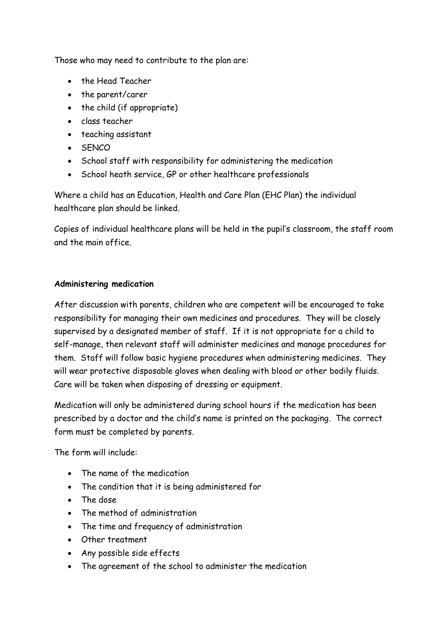Those who may need to contribute to the plan are:

- the Head Teacher
- the parent/carer
- $\bullet$  the child (if appropriate)
- class teacher
- teaching assistant
- SENCO
- School staff with responsibility for administering the medication
- School heath service, GP or other healthcare professionals

Where a child has an Education, Health and Care Plan (EHC Plan) the individual healthcare plan should be linked.

Copies of individual healthcare plans will be held in the pupil's classroom, the staff room and the main office.

# **Administering medication**

After discussion with parents, children who are competent will be encouraged to take responsibility for managing their own medicines and procedures. They will be closely supervised by a designated member of staff. If it is not appropriate for a child to self-manage, then relevant staff will administer medicines and manage procedures for them. Staff will follow basic hygiene procedures when administering medicines. They will wear protective disposable gloves when dealing with blood or other bodily fluids. Care will be taken when disposing of dressing or equipment.

Medication will only be administered during school hours if the medication has been prescribed by a doctor and the child's name is printed on the packaging. The correct form must be completed by parents.

The form will include:

- The name of the medication
- The condition that it is being administered for
- The dose
- The method of administration
- The time and frequency of administration
- Other treatment
- Any possible side effects
- The agreement of the school to administer the medication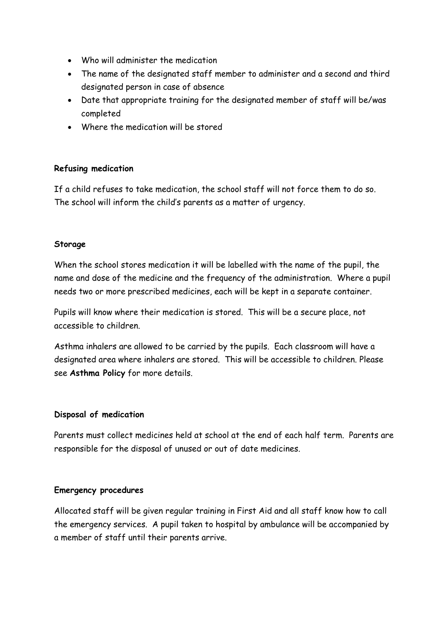- Who will administer the medication
- The name of the designated staff member to administer and a second and third designated person in case of absence
- Date that appropriate training for the designated member of staff will be/was completed
- Where the medication will be stored

#### **Refusing medication**

If a child refuses to take medication, the school staff will not force them to do so. The school will inform the child's parents as a matter of urgency.

#### **Storage**

When the school stores medication it will be labelled with the name of the pupil, the name and dose of the medicine and the frequency of the administration. Where a pupil needs two or more prescribed medicines, each will be kept in a separate container.

Pupils will know where their medication is stored. This will be a secure place, not accessible to children.

Asthma inhalers are allowed to be carried by the pupils. Each classroom will have a designated area where inhalers are stored. This will be accessible to children. Please see **Asthma Policy** for more details.

#### **Disposal of medication**

Parents must collect medicines held at school at the end of each half term. Parents are responsible for the disposal of unused or out of date medicines.

#### **Emergency procedures**

Allocated staff will be given regular training in First Aid and all staff know how to call the emergency services. A pupil taken to hospital by ambulance will be accompanied by a member of staff until their parents arrive.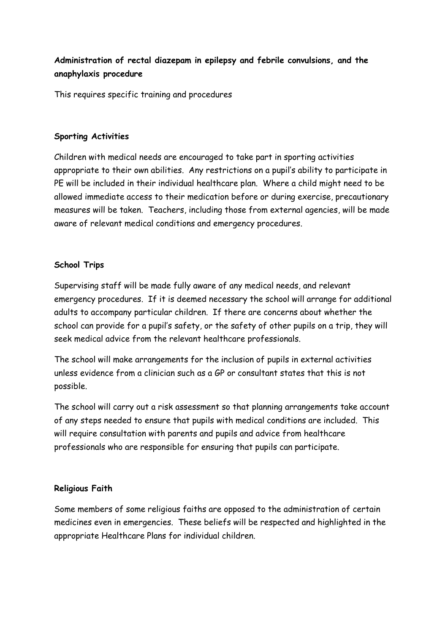# **Administration of rectal diazepam in epilepsy and febrile convulsions, and the anaphylaxis procedure**

This requires specific training and procedures

#### **Sporting Activities**

Children with medical needs are encouraged to take part in sporting activities appropriate to their own abilities. Any restrictions on a pupil's ability to participate in PE will be included in their individual healthcare plan. Where a child might need to be allowed immediate access to their medication before or during exercise, precautionary measures will be taken. Teachers, including those from external agencies, will be made aware of relevant medical conditions and emergency procedures.

# **School Trips**

Supervising staff will be made fully aware of any medical needs, and relevant emergency procedures. If it is deemed necessary the school will arrange for additional adults to accompany particular children. If there are concerns about whether the school can provide for a pupil's safety, or the safety of other pupils on a trip, they will seek medical advice from the relevant healthcare professionals.

The school will make arrangements for the inclusion of pupils in external activities unless evidence from a clinician such as a GP or consultant states that this is not possible.

The school will carry out a risk assessment so that planning arrangements take account of any steps needed to ensure that pupils with medical conditions are included. This will require consultation with parents and pupils and advice from healthcare professionals who are responsible for ensuring that pupils can participate.

# **Religious Faith**

Some members of some religious faiths are opposed to the administration of certain medicines even in emergencies. These beliefs will be respected and highlighted in the appropriate Healthcare Plans for individual children.